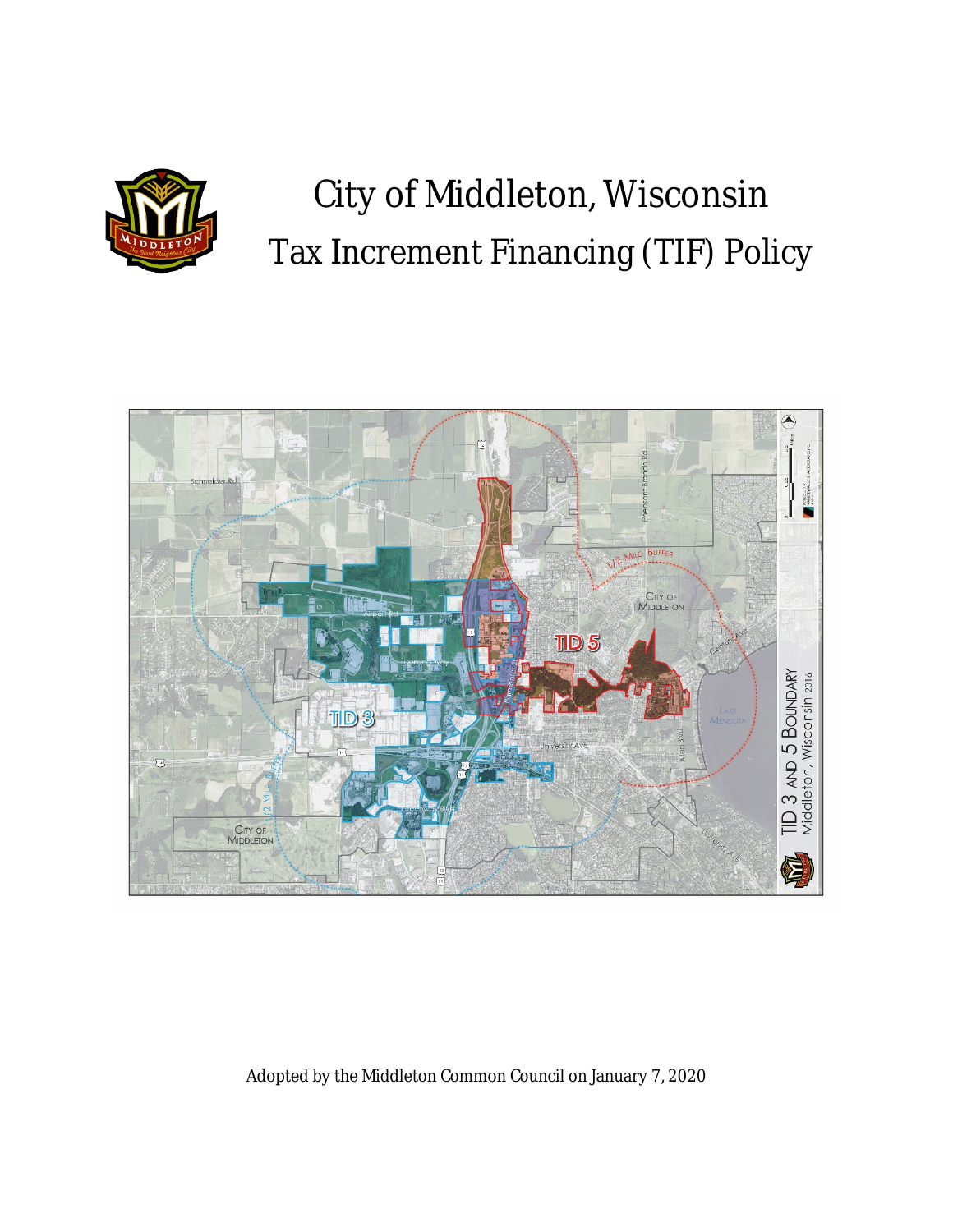

# City of Middleton, Wisconsin Tax Increment Financing (TIF) Policy



### Adopted by the Middleton Common Council on January 7, 2020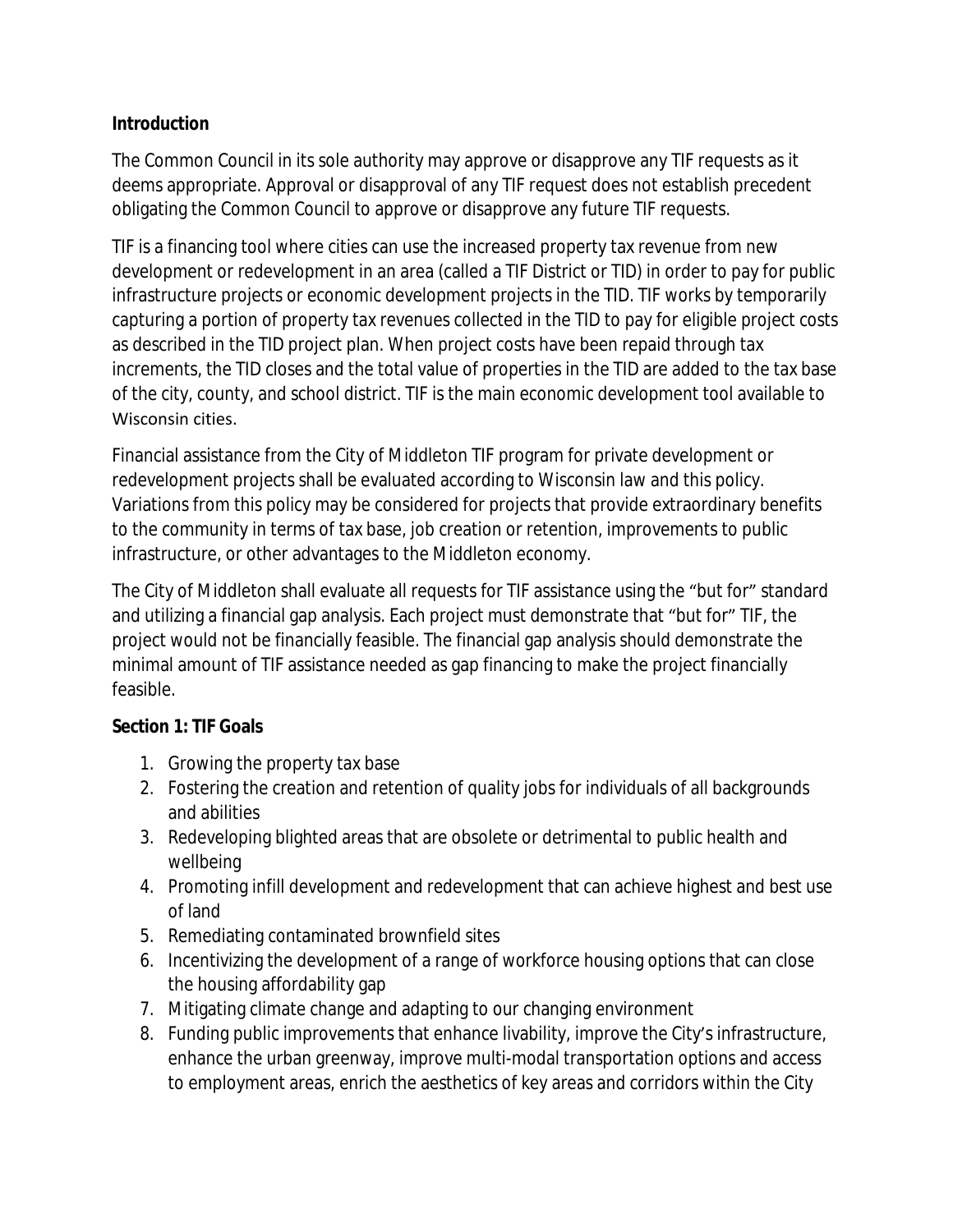### **Introduction**

The Common Council in its sole authority may approve or disapprove any TIF requests as it deems appropriate. Approval or disapproval of any TIF request does not establish precedent obligating the Common Council to approve or disapprove any future TIF requests.

TIF is a financing tool where cities can use the increased property tax revenue from new development or redevelopment in an area (called a TIF District or TID) in order to pay for public infrastructure projects or economic development projects in the TID. TIF works by temporarily capturing a portion of property tax revenues collected in the TID to pay for eligible project costs as described in the TID project plan. When project costs have been repaid through tax increments, the TID closes and the total value of properties in the TID are added to the tax base of the city, county, and school district. TIF is the main economic development tool available to Wisconsin cities.

Financial assistance from the City of Middleton TIF program for private development or redevelopment projects shall be evaluated according to Wisconsin law and this policy. Variations from this policy may be considered for projects that provide extraordinary benefits to the community in terms of tax base, job creation or retention, improvements to public infrastructure, or other advantages to the Middleton economy.

The City of Middleton shall evaluate all requests for TIF assistance using the "but for" standard and utilizing a financial gap analysis. Each project must demonstrate that "but for" TIF, the project would not be financially feasible. The financial gap analysis should demonstrate the minimal amount of TIF assistance needed as gap financing to make the project financially feasible.

### **Section 1: TIF Goals**

- 1. Growing the property tax base
- 2. Fostering the creation and retention of quality jobs for individuals of all backgrounds and abilities
- 3. Redeveloping blighted areas that are obsolete or detrimental to public health and wellbeing
- 4. Promoting infill development and redevelopment that can achieve highest and best use of land
- 5. Remediating contaminated brownfield sites
- 6. Incentivizing the development of a range of workforce housing options that can close the housing affordability gap
- 7. Mitigating climate change and adapting to our changing environment
- 8. Funding public improvements that enhance livability, improve the City's infrastructure, enhance the urban greenway, improve multi-modal transportation options and access to employment areas, enrich the aesthetics of key areas and corridors within the City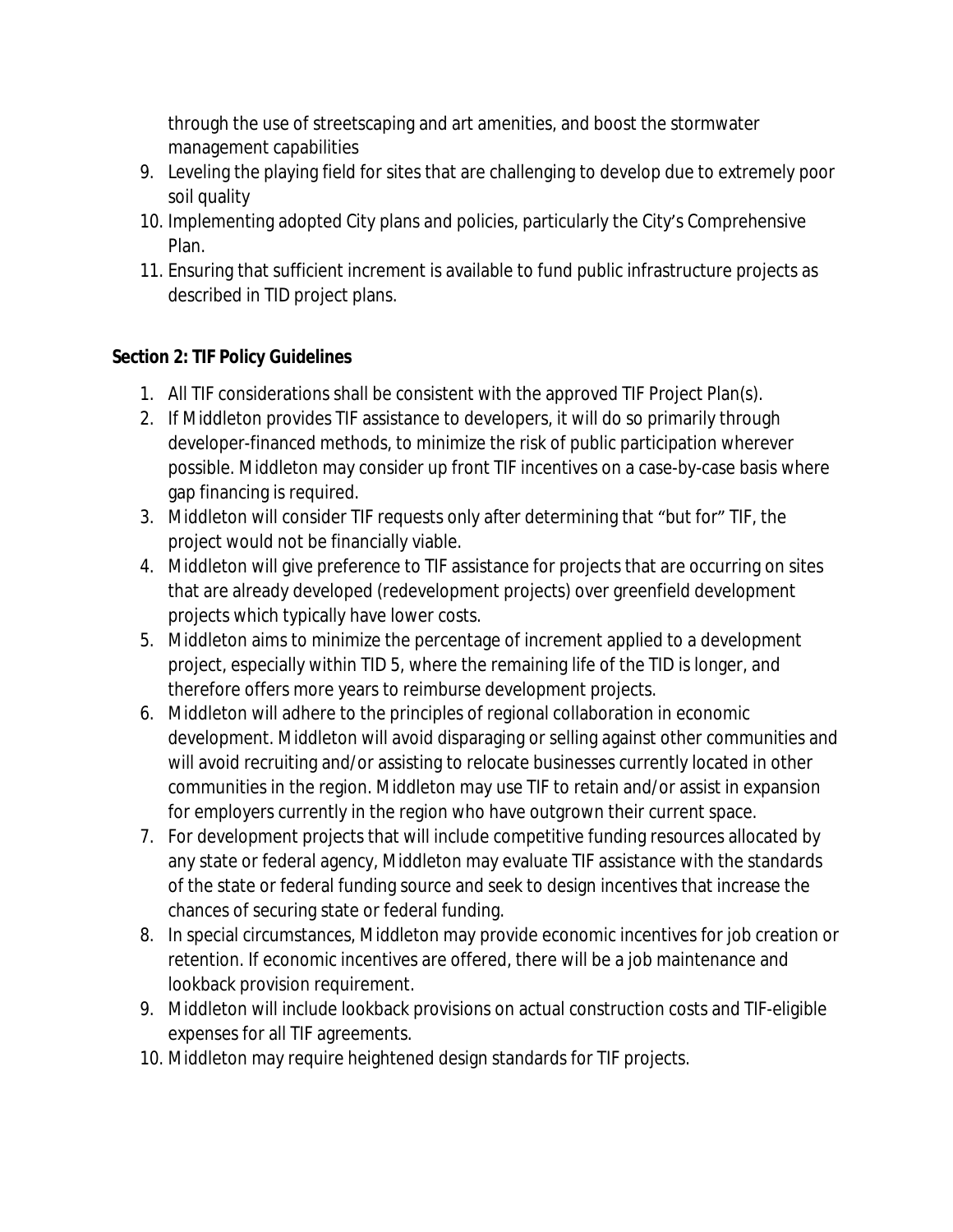through the use of streetscaping and art amenities, and boost the stormwater management capabilities

- 9. Leveling the playing field for sites that are challenging to develop due to extremely poor soil quality
- 10. Implementing adopted City plans and policies, particularly the City's Comprehensive Plan.
- 11. Ensuring that sufficient increment is available to fund public infrastructure projects as described in TID project plans.

## **Section 2: TIF Policy Guidelines**

- 1. All TIF considerations shall be consistent with the approved TIF Project Plan(s).
- 2. If Middleton provides TIF assistance to developers, it will do so primarily through developer-financed methods, to minimize the risk of public participation wherever possible. Middleton may consider up front TIF incentives on a case-by-case basis where gap financing is required.
- 3. Middleton will consider TIF requests only after determining that "but for" TIF, the project would not be financially viable.
- 4. Middleton will give preference to TIF assistance for projects that are occurring on sites that are already developed (redevelopment projects) over greenfield development projects which typically have lower costs.
- 5. Middleton aims to minimize the percentage of increment applied to a development project, especially within TID 5, where the remaining life of the TID is longer, and therefore offers more years to reimburse development projects.
- 6. Middleton will adhere to the principles of regional collaboration in economic development. Middleton will avoid disparaging or selling against other communities and will avoid recruiting and/or assisting to relocate businesses currently located in other communities in the region. Middleton may use TIF to retain and/or assist in expansion for employers currently in the region who have outgrown their current space.
- 7. For development projects that will include competitive funding resources allocated by any state or federal agency, Middleton may evaluate TIF assistance with the standards of the state or federal funding source and seek to design incentives that increase the chances of securing state or federal funding.
- 8. In special circumstances, Middleton may provide economic incentives for job creation or retention. If economic incentives are offered, there will be a job maintenance and lookback provision requirement.
- 9. Middleton will include lookback provisions on actual construction costs and TIF-eligible expenses for all TIF agreements.
- 10. Middleton may require heightened design standards for TIF projects.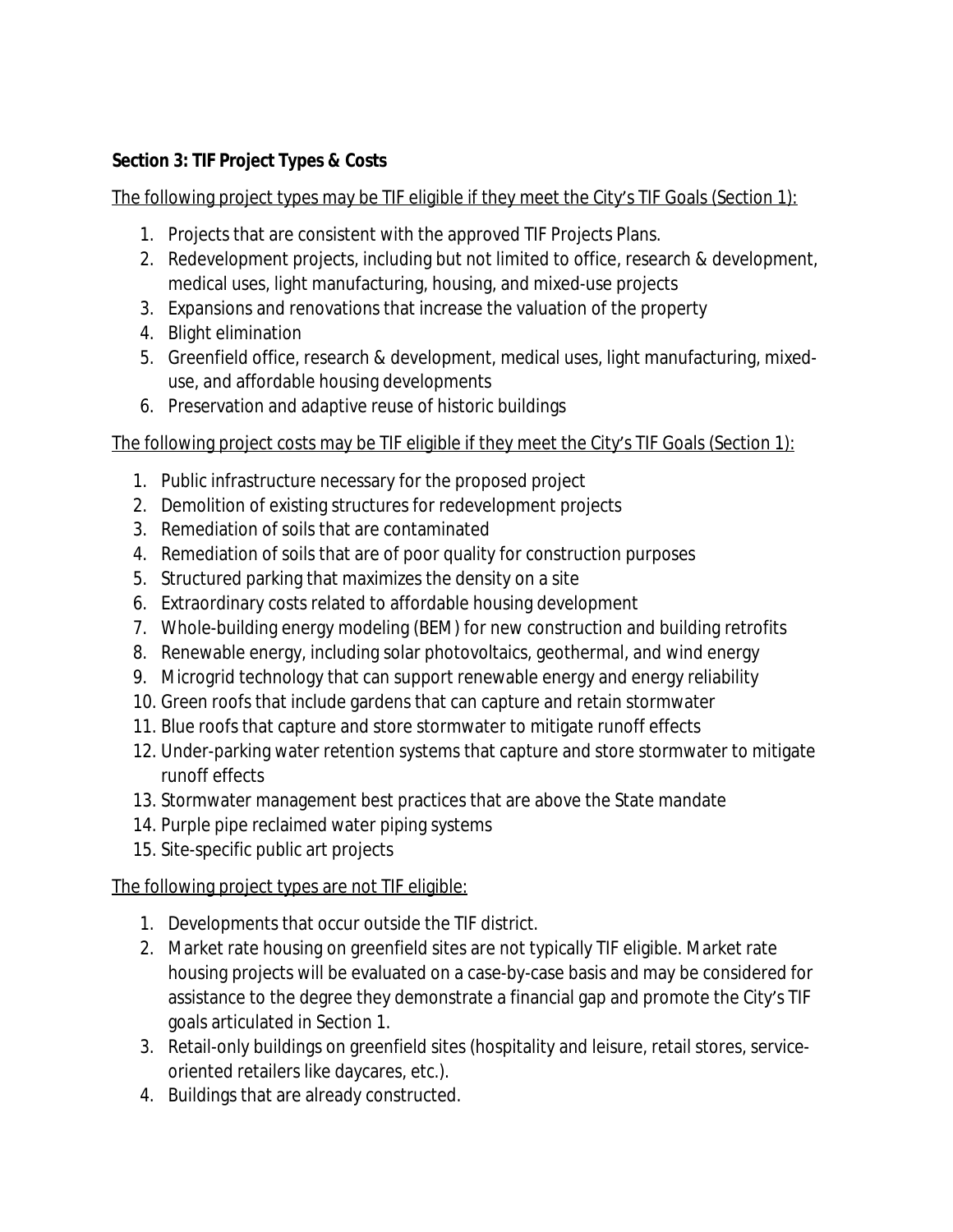## **Section 3: TIF Project Types & Costs**

The following project types may be TIF eligible if they meet the City's TIF Goals (Section 1):

- 1. Projects that are consistent with the approved TIF Projects Plans.
- 2. Redevelopment projects, including but not limited to office, research & development, medical uses, light manufacturing, housing, and mixed-use projects
- 3. Expansions and renovations that increase the valuation of the property
- 4. Blight elimination
- 5. Greenfield office, research & development, medical uses, light manufacturing, mixeduse, and affordable housing developments
- 6. Preservation and adaptive reuse of historic buildings

## The following project costs may be TIF eligible if they meet the City's TIF Goals (Section 1):

- 1. Public infrastructure necessary for the proposed project
- 2. Demolition of existing structures for redevelopment projects
- 3. Remediation of soils that are contaminated
- 4. Remediation of soils that are of poor quality for construction purposes
- 5. Structured parking that maximizes the density on a site
- 6. Extraordinary costs related to affordable housing development
- 7. Whole-building energy modeling (BEM) for new construction and building retrofits
- 8. Renewable energy, including solar photovoltaics, geothermal, and wind energy
- 9. Microgrid technology that can support renewable energy and energy reliability
- 10. Green roofs that include gardens that can capture and retain stormwater
- 11. Blue roofs that capture and store stormwater to mitigate runoff effects
- 12. Under-parking water retention systems that capture and store stormwater to mitigate runoff effects
- 13. Stormwater management best practices that are above the State mandate
- 14. Purple pipe reclaimed water piping systems
- 15. Site-specific public art projects

## The following project types are not TIF eligible:

- 1. Developments that occur outside the TIF district.
- 2. Market rate housing on greenfield sites are not typically TIF eligible. Market rate housing projects will be evaluated on a case-by-case basis and may be considered for assistance to the degree they demonstrate a financial gap and promote the City's TIF goals articulated in Section 1.
- 3. Retail-only buildings on greenfield sites (hospitality and leisure, retail stores, serviceoriented retailers like daycares, etc.).
- 4. Buildings that are already constructed.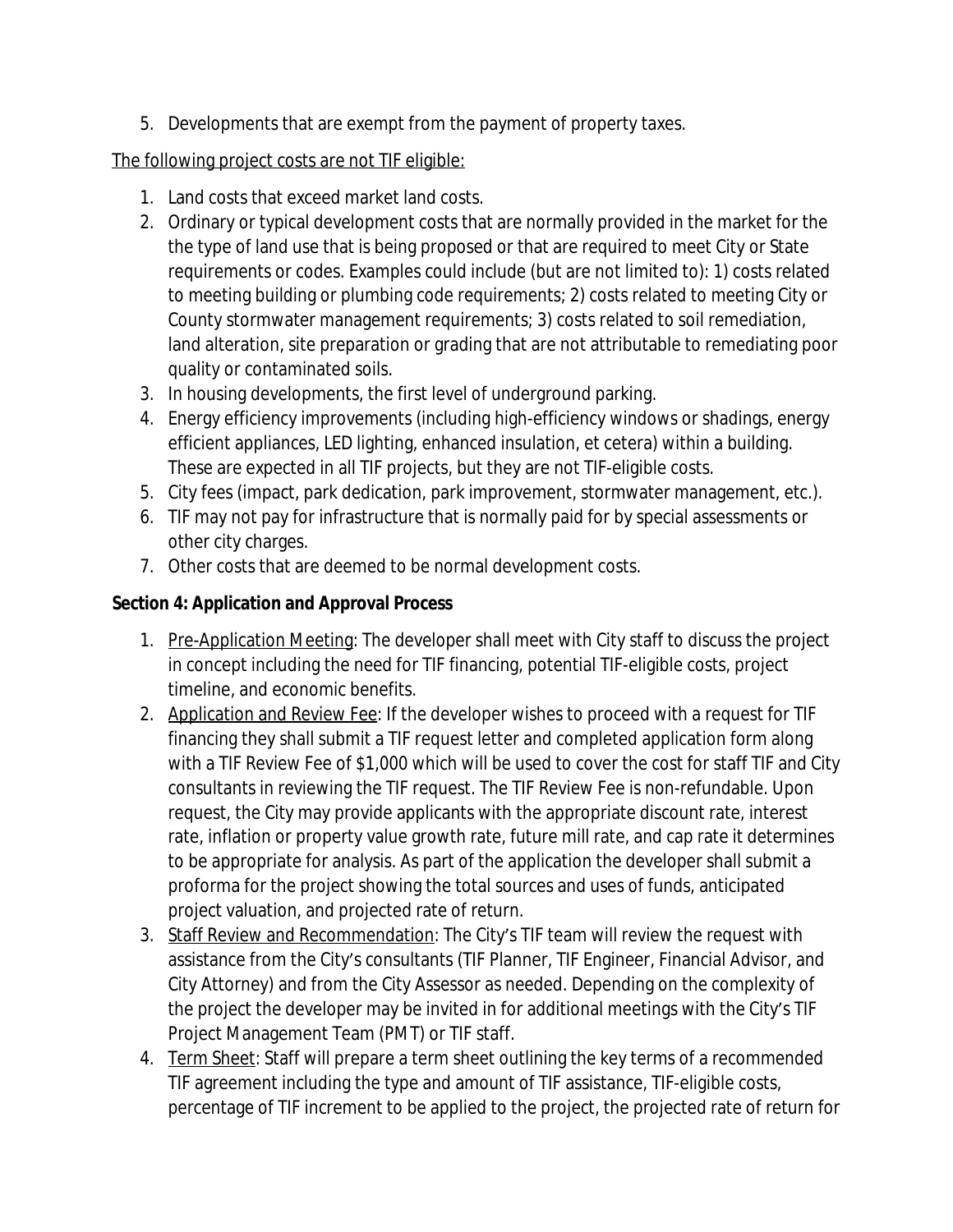5. Developments that are exempt from the payment of property taxes.

## The following project costs are not TIF eligible:

- 1. Land costs that exceed market land costs.
- 2. Ordinary or typical development costs that are normally provided in the market for the the type of land use that is being proposed or that are required to meet City or State requirements or codes. Examples could include (but are not limited to): 1) costs related to meeting building or plumbing code requirements; 2) costs related to meeting City or County stormwater management requirements; 3) costs related to soil remediation, land alteration, site preparation or grading that are not attributable to remediating poor quality or contaminated soils.
- 3. In housing developments, the first level of underground parking.
- 4. Energy efficiency improvements (including high-efficiency windows or shadings, energy efficient appliances, LED lighting, enhanced insulation, et cetera) within a building. These are expected in all TIF projects, but they are not TIF-eligible costs.
- 5. City fees (impact, park dedication, park improvement, stormwater management, etc.).
- 6. TIF may not pay for infrastructure that is normally paid for by special assessments or other city charges.
- 7. Other costs that are deemed to be normal development costs.

## **Section 4: Application and Approval Process**

- 1. Pre-Application Meeting: The developer shall meet with City staff to discuss the project in concept including the need for TIF financing, potential TIF-eligible costs, project timeline, and economic benefits.
- 2. Application and Review Fee: If the developer wishes to proceed with a request for TIF financing they shall submit a TIF request letter and completed application form along with a TIF Review Fee of \$1,000 which will be used to cover the cost for staff TIF and City consultants in reviewing the TIF request. The TIF Review Fee is non-refundable. Upon request, the City may provide applicants with the appropriate discount rate, interest rate, inflation or property value growth rate, future mill rate, and cap rate it determines to be appropriate for analysis. As part of the application the developer shall submit a proforma for the project showing the total sources and uses of funds, anticipated project valuation, and projected rate of return.
- 3. Staff Review and Recommendation: The City's TIF team will review the request with assistance from the City's consultants (TIF Planner, TIF Engineer, Financial Advisor, and City Attorney) and from the City Assessor as needed. Depending on the complexity of the project the developer may be invited in for additional meetings with the City's TIF Project Management Team (PMT) or TIF staff.
- 4. Term Sheet: Staff will prepare a term sheet outlining the key terms of a recommended TIF agreement including the type and amount of TIF assistance, TIF-eligible costs, percentage of TIF increment to be applied to the project, the projected rate of return for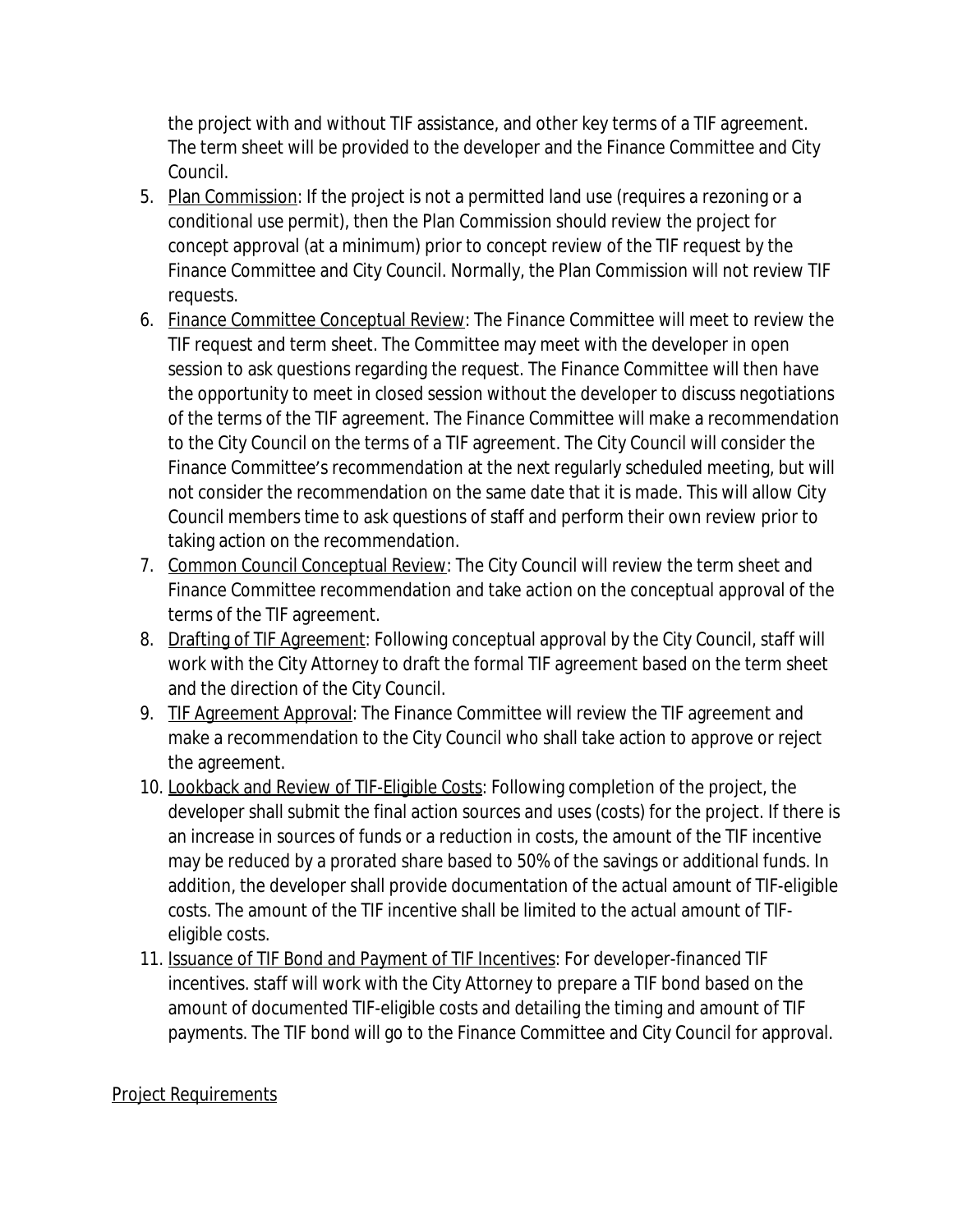the project with and without TIF assistance, and other key terms of a TIF agreement. The term sheet will be provided to the developer and the Finance Committee and City Council.

- 5. Plan Commission: If the project is not a permitted land use (requires a rezoning or a conditional use permit), then the Plan Commission should review the project for concept approval (at a minimum) prior to concept review of the TIF request by the Finance Committee and City Council. Normally, the Plan Commission will not review TIF requests.
- 6. Finance Committee Conceptual Review: The Finance Committee will meet to review the TIF request and term sheet. The Committee may meet with the developer in open session to ask questions regarding the request. The Finance Committee will then have the opportunity to meet in closed session without the developer to discuss negotiations of the terms of the TIF agreement. The Finance Committee will make a recommendation to the City Council on the terms of a TIF agreement. The City Council will consider the Finance Committee's recommendation at the next regularly scheduled meeting, but will not consider the recommendation on the same date that it is made. This will allow City Council members time to ask questions of staff and perform their own review prior to taking action on the recommendation.
- 7. Common Council Conceptual Review: The City Council will review the term sheet and Finance Committee recommendation and take action on the conceptual approval of the terms of the TIF agreement.
- 8. Drafting of TIF Agreement: Following conceptual approval by the City Council, staff will work with the City Attorney to draft the formal TIF agreement based on the term sheet and the direction of the City Council.
- 9. TIF Agreement Approval: The Finance Committee will review the TIF agreement and make a recommendation to the City Council who shall take action to approve or reject the agreement.
- 10. Lookback and Review of TIF-Eligible Costs: Following completion of the project, the developer shall submit the final action sources and uses (costs) for the project. If there is an increase in sources of funds or a reduction in costs, the amount of the TIF incentive may be reduced by a prorated share based to 50% of the savings or additional funds. In addition, the developer shall provide documentation of the actual amount of TIF-eligible costs. The amount of the TIF incentive shall be limited to the actual amount of TIFeligible costs.
- 11. Issuance of TIF Bond and Payment of TIF Incentives: For developer-financed TIF incentives. staff will work with the City Attorney to prepare a TIF bond based on the amount of documented TIF-eligible costs and detailing the timing and amount of TIF payments. The TIF bond will go to the Finance Committee and City Council for approval.

### Project Requirements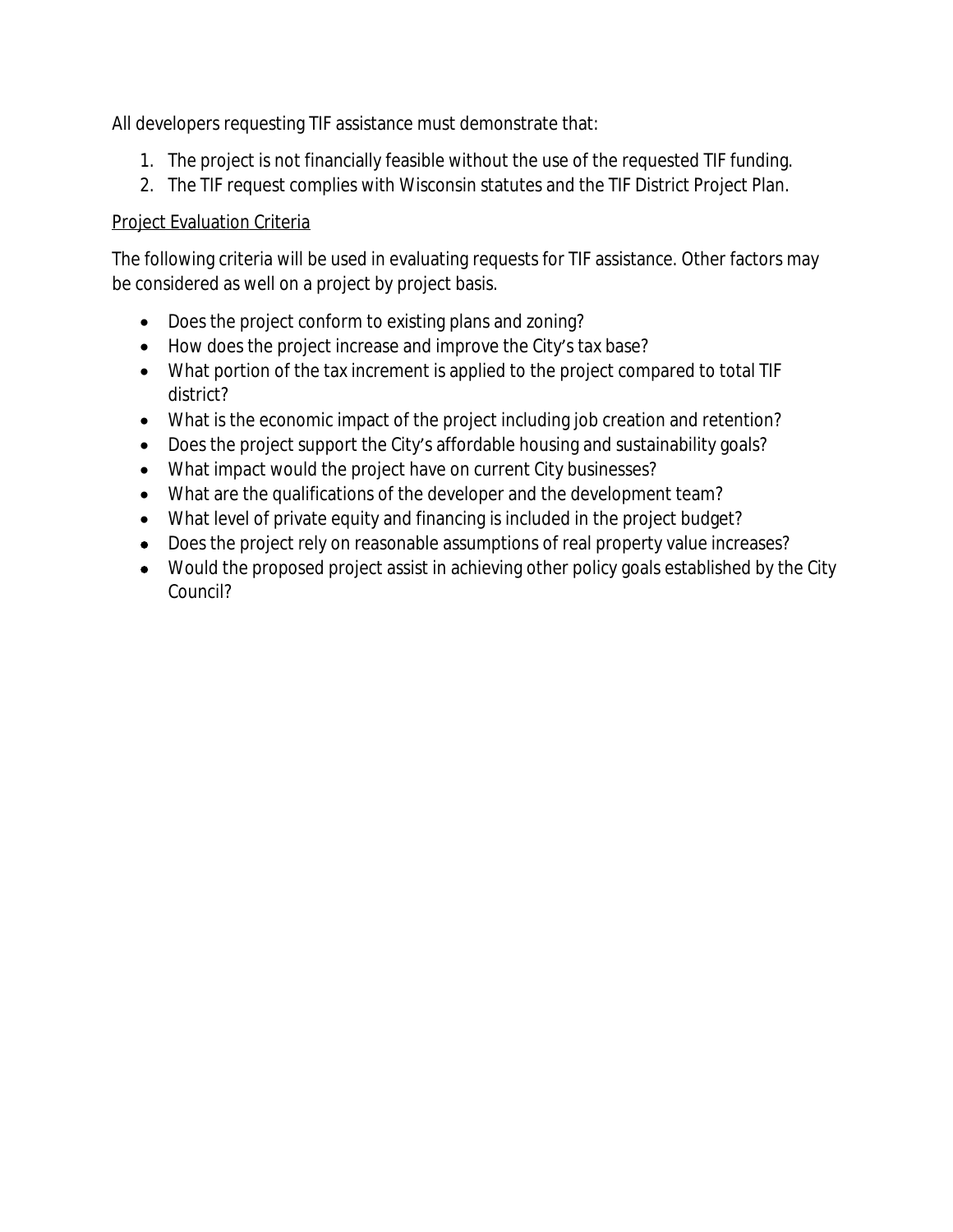All developers requesting TIF assistance must demonstrate that:

- 1. The project is not financially feasible without the use of the requested TIF funding.
- 2. The TIF request complies with Wisconsin statutes and the TIF District Project Plan.

## Project Evaluation Criteria

The following criteria will be used in evaluating requests for TIF assistance. Other factors may be considered as well on a project by project basis.

- Does the project conform to existing plans and zoning?
- How does the project increase and improve the City's tax base?
- What portion of the tax increment is applied to the project compared to total TIF district?
- What is the economic impact of the project including job creation and retention?
- Does the project support the City's affordable housing and sustainability goals?
- What impact would the project have on current City businesses?
- What are the qualifications of the developer and the development team?
- What level of private equity and financing is included in the project budget?
- Does the project rely on reasonable assumptions of real property value increases?
- Would the proposed project assist in achieving other policy goals established by the City Council?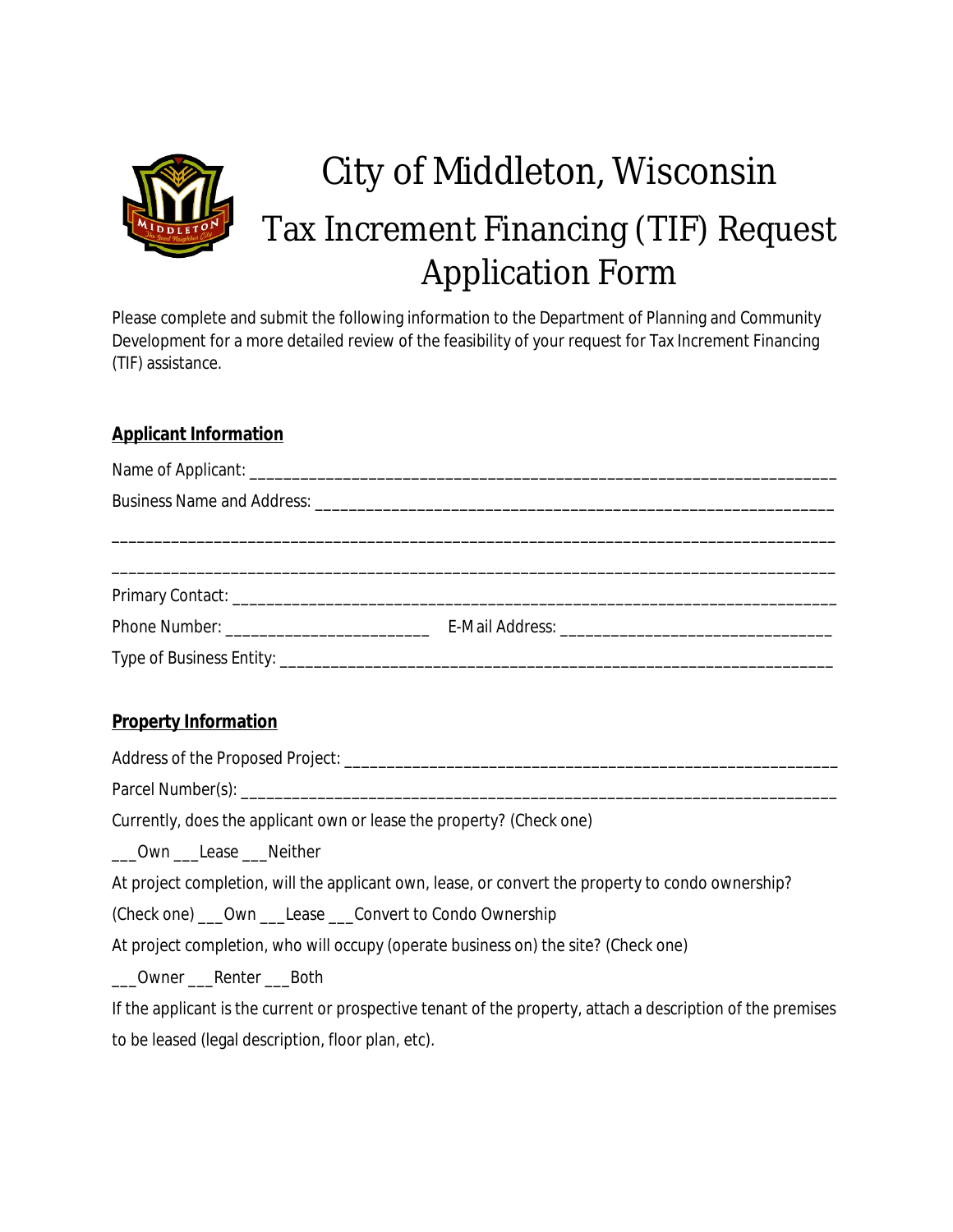

## City of Middleton, Wisconsin Tax Increment Financing (TIF) Request Application Form

Please complete and submit the following information to the Department of Planning and Community Development for a more detailed review of the feasibility of your request for Tax Increment Financing (TIF) assistance.

### **Applicant Information**

### **Property Information**

Address of the Proposed Project: \_\_\_\_\_\_\_\_\_\_\_\_\_\_\_\_\_\_\_\_\_\_\_\_\_\_\_\_\_\_\_\_\_\_\_\_\_\_\_\_\_\_\_\_\_\_\_\_\_\_\_\_\_\_\_\_\_\_ Parcel Number(s): \_\_\_\_\_\_\_\_\_\_\_\_\_\_\_\_\_\_\_\_\_\_\_\_\_\_\_\_\_\_\_\_\_\_\_\_\_\_\_\_\_\_\_\_\_\_\_\_\_\_\_\_\_\_\_\_\_\_\_\_\_\_\_\_\_\_\_\_\_\_ Currently, does the applicant own or lease the property? (Check one)

\_\_\_Own \_\_\_Lease \_\_\_Neither

At project completion, will the applicant own, lease, or convert the property to condo ownership?

(Check one) \_\_\_Own \_\_\_Lease \_\_\_Convert to Condo Ownership

At project completion, who will occupy (operate business on) the site? (Check one)

Owner Renter Both

If the applicant is the current or prospective tenant of the property, attach a description of the premises to be leased (legal description, floor plan, etc).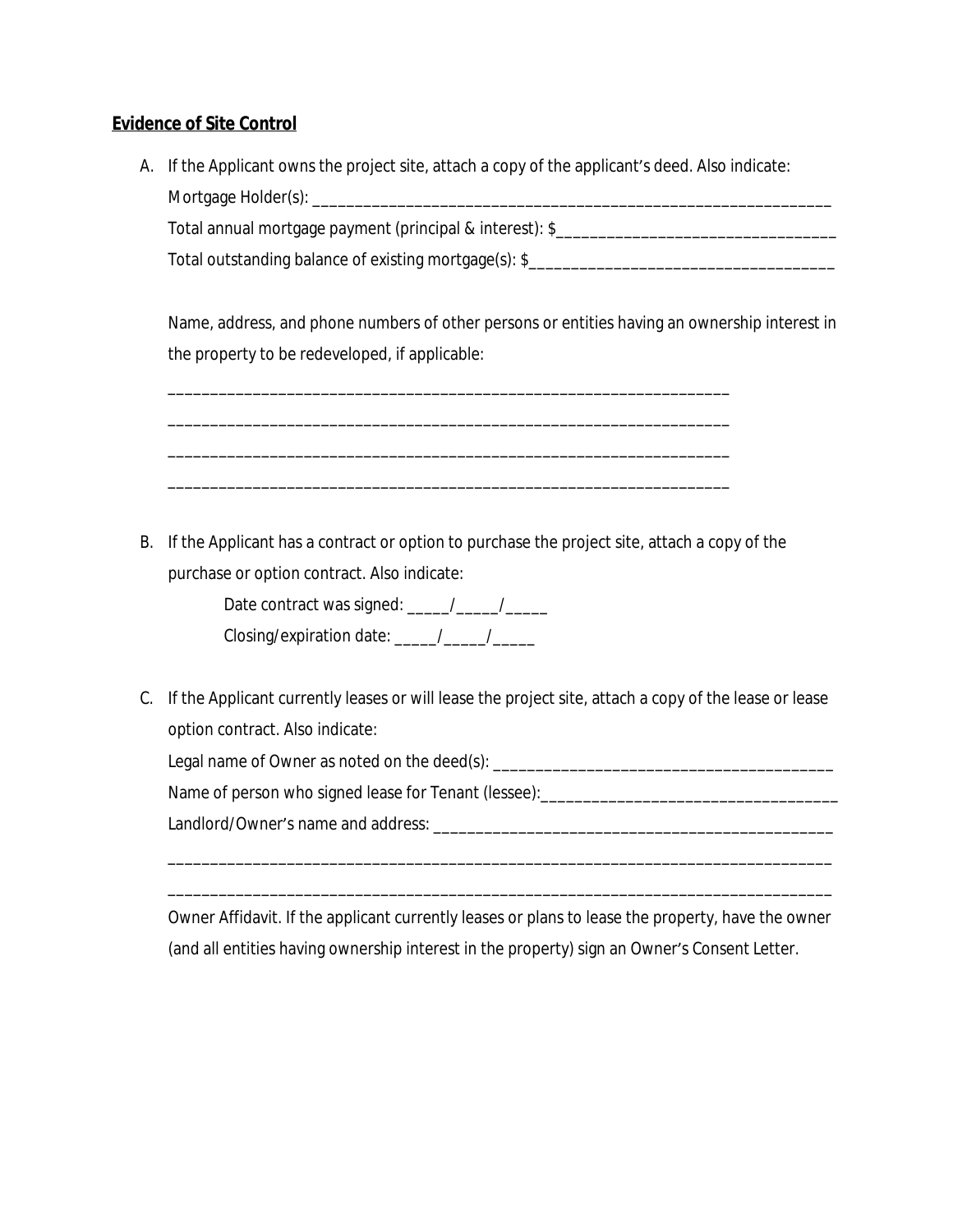### **Evidence of Site Control**

A. If the Applicant owns the project site, attach a copy of the applicant's deed. Also indicate: Mortgage Holder(s): \_\_\_\_\_\_\_\_\_\_\_\_\_\_\_\_\_\_\_\_\_\_\_\_\_\_\_\_\_\_\_\_\_\_\_\_\_\_\_\_\_\_\_\_\_\_\_\_\_\_\_\_\_\_\_\_\_\_\_\_\_

Total annual mortgage payment (principal & interest): \$\_\_\_\_\_\_\_\_\_\_\_\_\_\_\_\_\_\_\_\_\_\_\_\_\_\_ Total outstanding balance of existing mortgage(s): \$\_\_\_\_\_\_\_\_\_\_\_\_\_\_\_\_\_\_\_\_\_\_\_\_\_\_\_\_\_

Name, address, and phone numbers of other persons or entities having an ownership interest in the property to be redeveloped, if applicable:

B. If the Applicant has a contract or option to purchase the project site, attach a copy of the purchase or option contract. Also indicate:

\_\_\_\_\_\_\_\_\_\_\_\_\_\_\_\_\_\_\_\_\_\_\_\_\_\_\_\_\_\_\_\_\_\_\_\_\_\_\_\_\_\_\_\_\_\_\_\_\_\_\_\_\_\_\_\_\_\_\_\_\_\_\_\_\_\_

\_\_\_\_\_\_\_\_\_\_\_\_\_\_\_\_\_\_\_\_\_\_\_\_\_\_\_\_\_\_\_\_\_\_\_\_\_\_\_\_\_\_\_\_\_\_\_\_\_\_\_\_\_\_\_\_\_\_\_\_\_\_\_\_\_\_

\_\_\_\_\_\_\_\_\_\_\_\_\_\_\_\_\_\_\_\_\_\_\_\_\_\_\_\_\_\_\_\_\_\_\_\_\_\_\_\_\_\_\_\_\_\_\_\_\_\_\_\_\_\_\_\_\_\_\_\_\_\_\_\_\_\_

\_\_\_\_\_\_\_\_\_\_\_\_\_\_\_\_\_\_\_\_\_\_\_\_\_\_\_\_\_\_\_\_\_\_\_\_\_\_\_\_\_\_\_\_\_\_\_\_\_\_\_\_\_\_\_\_\_\_\_\_\_\_\_\_\_\_



C. If the Applicant currently leases or will lease the project site, attach a copy of the lease or lease option contract. Also indicate:

Legal name of Owner as noted on the deed(s): \_\_\_\_\_\_\_\_\_\_\_\_\_\_\_\_\_\_\_\_\_\_\_\_\_\_\_\_\_\_\_\_\_\_\_

Name of person who signed lease for Tenant (lessee):\_\_\_\_\_\_\_\_\_\_\_\_\_\_\_\_\_\_\_\_\_\_\_\_\_\_\_\_\_\_\_\_\_\_\_

Landlord/Owner's name and address: **with a strategies of the strategies** of the strategies of the strategies of the strategies of the strategies of the strategies of the strategies of the strategies of the strategies of th

Owner Affidavit. If the applicant currently leases or plans to lease the property, have the owner (and all entities having ownership interest in the property) sign an Owner's Consent Letter.

\_\_\_\_\_\_\_\_\_\_\_\_\_\_\_\_\_\_\_\_\_\_\_\_\_\_\_\_\_\_\_\_\_\_\_\_\_\_\_\_\_\_\_\_\_\_\_\_\_\_\_\_\_\_\_\_\_\_\_\_\_\_\_\_\_\_\_\_\_\_\_\_\_\_\_\_\_\_

\_\_\_\_\_\_\_\_\_\_\_\_\_\_\_\_\_\_\_\_\_\_\_\_\_\_\_\_\_\_\_\_\_\_\_\_\_\_\_\_\_\_\_\_\_\_\_\_\_\_\_\_\_\_\_\_\_\_\_\_\_\_\_\_\_\_\_\_\_\_\_\_\_\_\_\_\_\_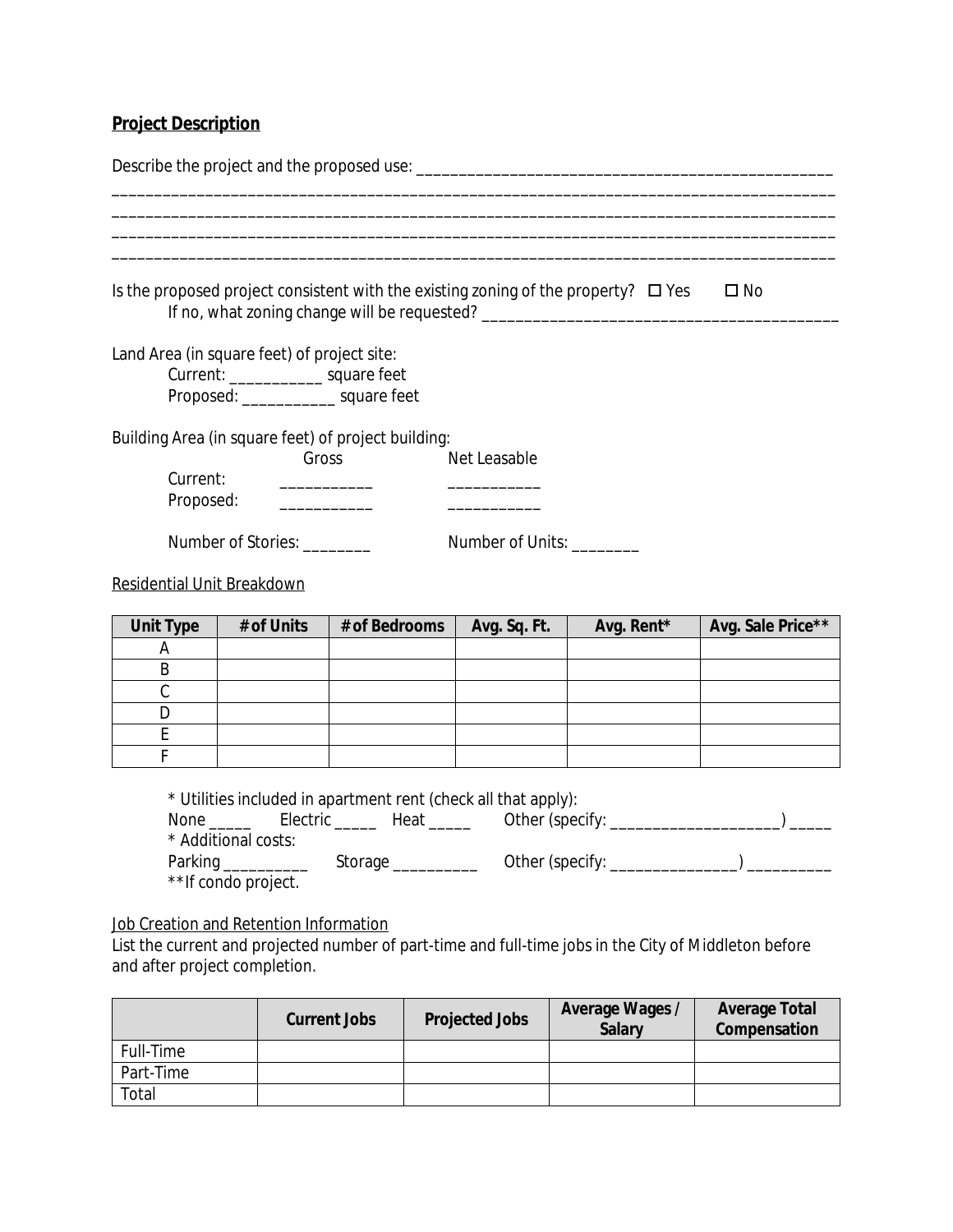## **Project Description**

|                                   |                                                                                                                                | Is the proposed project consistent with the existing zoning of the property? $\Box$ Yes<br>If no, what zoning change will be requested?                                                                                                                                                                                                                                                                                                                                                                                                       |                           |            | $\square$ No      |
|-----------------------------------|--------------------------------------------------------------------------------------------------------------------------------|-----------------------------------------------------------------------------------------------------------------------------------------------------------------------------------------------------------------------------------------------------------------------------------------------------------------------------------------------------------------------------------------------------------------------------------------------------------------------------------------------------------------------------------------------|---------------------------|------------|-------------------|
|                                   | Land Area (in square feet) of project site:<br>Current: ________________ square feet<br>Proposed: ________________ square feet |                                                                                                                                                                                                                                                                                                                                                                                                                                                                                                                                               |                           |            |                   |
| Current:                          | Gross<br>Proposed:                                                                                                             | Building Area (in square feet) of project building:<br>$\begin{array}{cccccccccc} \multicolumn{2}{c}{} & \multicolumn{2}{c}{} & \multicolumn{2}{c}{} & \multicolumn{2}{c}{} & \multicolumn{2}{c}{} & \multicolumn{2}{c}{} & \multicolumn{2}{c}{} & \multicolumn{2}{c}{} & \multicolumn{2}{c}{} & \multicolumn{2}{c}{} & \multicolumn{2}{c}{} & \multicolumn{2}{c}{} & \multicolumn{2}{c}{} & \multicolumn{2}{c}{} & \multicolumn{2}{c}{} & \multicolumn{2}{c}{} & \multicolumn{2}{c}{} & \multicolumn{2}{c}{} & \multicolumn{2}{c}{} & \mult$ | Net Leasable              |            |                   |
|                                   | Number of Stories: _________                                                                                                   |                                                                                                                                                                                                                                                                                                                                                                                                                                                                                                                                               | Number of Units: ________ |            |                   |
| <b>Residential Unit Breakdown</b> |                                                                                                                                |                                                                                                                                                                                                                                                                                                                                                                                                                                                                                                                                               |                           |            |                   |
| <b>Unit Type</b>                  | # of Units                                                                                                                     | # of Bedrooms                                                                                                                                                                                                                                                                                                                                                                                                                                                                                                                                 | Avg. Sq. Ft.              | Avg. Rent* | Avg. Sale Price** |
| Α                                 |                                                                                                                                |                                                                                                                                                                                                                                                                                                                                                                                                                                                                                                                                               |                           |            |                   |
| B                                 |                                                                                                                                |                                                                                                                                                                                                                                                                                                                                                                                                                                                                                                                                               |                           |            |                   |
| $\mathcal{C}$                     |                                                                                                                                |                                                                                                                                                                                                                                                                                                                                                                                                                                                                                                                                               |                           |            |                   |
| D                                 |                                                                                                                                |                                                                                                                                                                                                                                                                                                                                                                                                                                                                                                                                               |                           |            |                   |
| E                                 |                                                                                                                                |                                                                                                                                                                                                                                                                                                                                                                                                                                                                                                                                               |                           |            |                   |
| F                                 |                                                                                                                                |                                                                                                                                                                                                                                                                                                                                                                                                                                                                                                                                               |                           |            |                   |
|                                   | * Additional costs:                                                                                                            | * Utilities included in apartment rent (check all that apply):                                                                                                                                                                                                                                                                                                                                                                                                                                                                                |                           |            |                   |
|                                   | ** If condo project.                                                                                                           |                                                                                                                                                                                                                                                                                                                                                                                                                                                                                                                                               |                           |            |                   |

Job Creation and Retention Information

List the current and projected number of part-time and full-time jobs in the City of Middleton before and after project completion.

|           | <b>Current Jobs</b> | <b>Projected Jobs</b> | Average Wages /<br><b>Salary</b> | <b>Average Total</b><br>Compensation |
|-----------|---------------------|-----------------------|----------------------------------|--------------------------------------|
| Full-Time |                     |                       |                                  |                                      |
| Part-Time |                     |                       |                                  |                                      |
| Total     |                     |                       |                                  |                                      |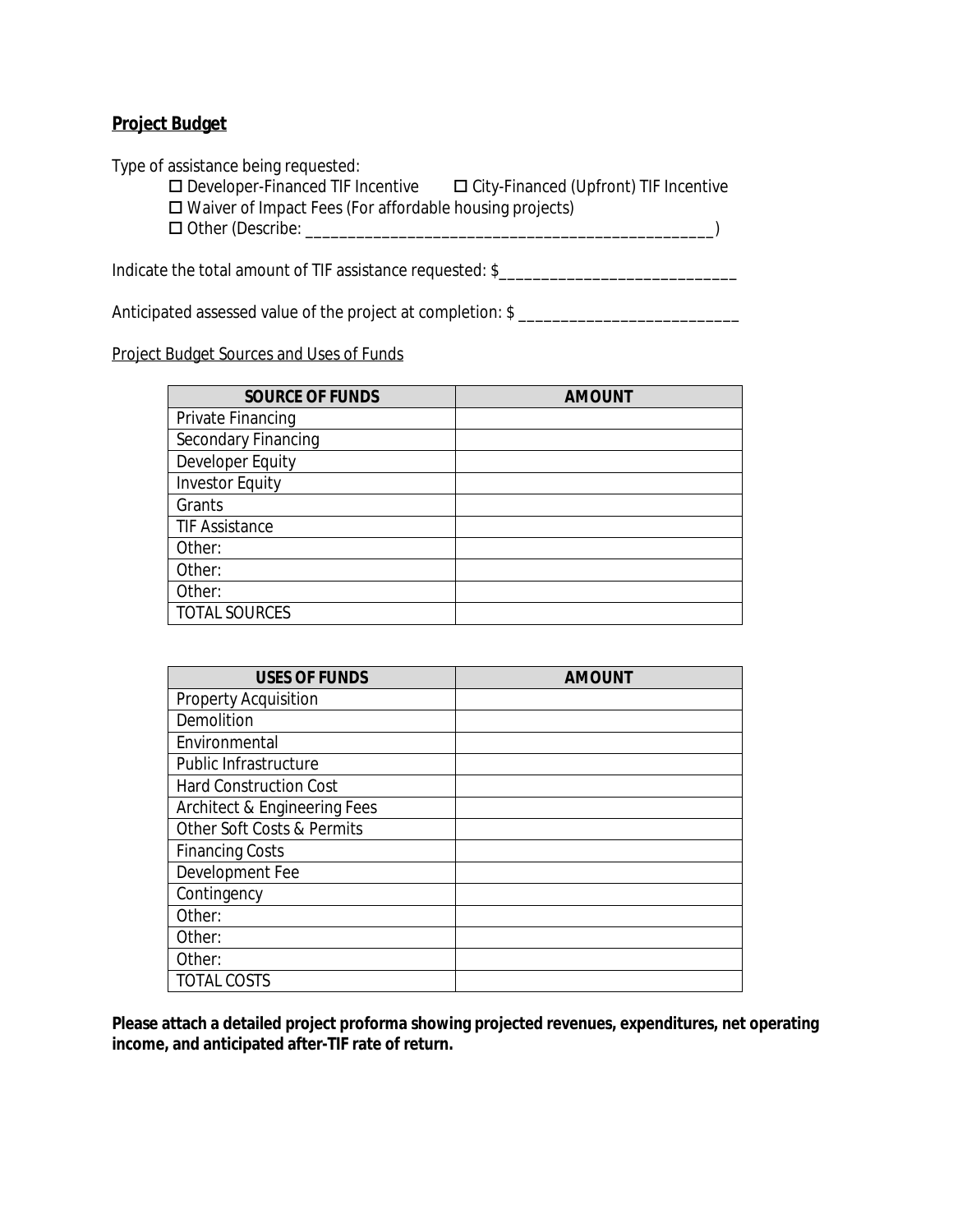### **Project Budget**

Type of assistance being requested:<br>  $\square$  Developer-Financed TIF Incentive  $\Box$  City-Financed (Upfront) TIF Incentive □ Waiver of Impact Fees (For affordable housing projects)

Other (Describe: \_\_\_\_\_\_\_\_\_\_\_\_\_\_\_\_\_\_\_\_\_\_\_\_\_\_\_\_\_\_\_\_\_\_\_\_\_\_\_\_\_\_\_\_\_\_\_\_)

Indicate the total amount of TIF assistance requested: \$\_\_\_\_\_\_\_\_\_\_\_\_\_\_\_\_\_\_\_\_\_\_\_\_

Anticipated assessed value of the project at completion: \$ \_\_\_\_\_\_\_\_\_\_\_\_\_\_\_\_\_\_\_\_\_

#### Project Budget Sources and Uses of Funds

| <b>SOURCE OF FUNDS</b> | <b>AMOUNT</b> |
|------------------------|---------------|
| Private Financing      |               |
| Secondary Financing    |               |
| Developer Equity       |               |
| <b>Investor Equity</b> |               |
| Grants                 |               |
| <b>TIF Assistance</b>  |               |
| Other:                 |               |
| Other:                 |               |
| Other:                 |               |
| <b>TOTAL SOURCES</b>   |               |

| <b>USES OF FUNDS</b>                  | <b>AMOUNT</b> |
|---------------------------------------|---------------|
| <b>Property Acquisition</b>           |               |
| Demolition                            |               |
| Environmental                         |               |
| Public Infrastructure                 |               |
| <b>Hard Construction Cost</b>         |               |
| Architect & Engineering Fees          |               |
| <b>Other Soft Costs &amp; Permits</b> |               |
| <b>Financing Costs</b>                |               |
| Development Fee                       |               |
| Contingency                           |               |
| Other:                                |               |
| Other:                                |               |
| Other:                                |               |
| <b>TOTAL COSTS</b>                    |               |

**Please attach a detailed project proforma showing projected revenues, expenditures, net operating income, and anticipated after-TIF rate of return.**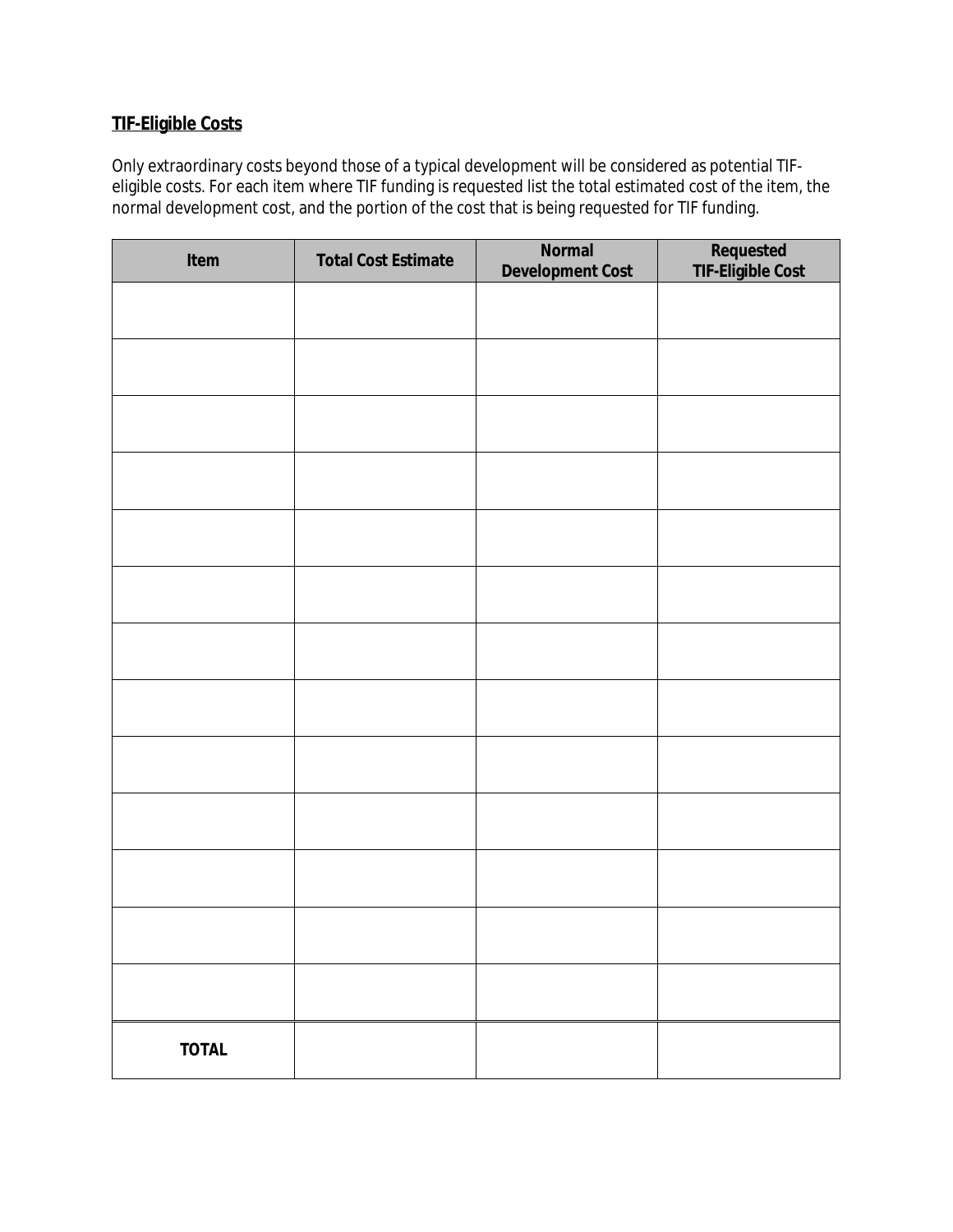## **TIF-Eligible Costs**

Only extraordinary costs beyond those of a typical development will be considered as potential TIFeligible costs. For each item where TIF funding is requested list the total estimated cost of the item, the normal development cost, and the portion of the cost that is being requested for TIF funding.

| Item         | <b>Total Cost Estimate</b> | <b>Normal</b><br><b>Development Cost</b> | Requested<br>TIF-Eligible Cost |
|--------------|----------------------------|------------------------------------------|--------------------------------|
|              |                            |                                          |                                |
|              |                            |                                          |                                |
|              |                            |                                          |                                |
|              |                            |                                          |                                |
|              |                            |                                          |                                |
|              |                            |                                          |                                |
|              |                            |                                          |                                |
|              |                            |                                          |                                |
|              |                            |                                          |                                |
|              |                            |                                          |                                |
|              |                            |                                          |                                |
|              |                            |                                          |                                |
|              |                            |                                          |                                |
| <b>TOTAL</b> |                            |                                          |                                |